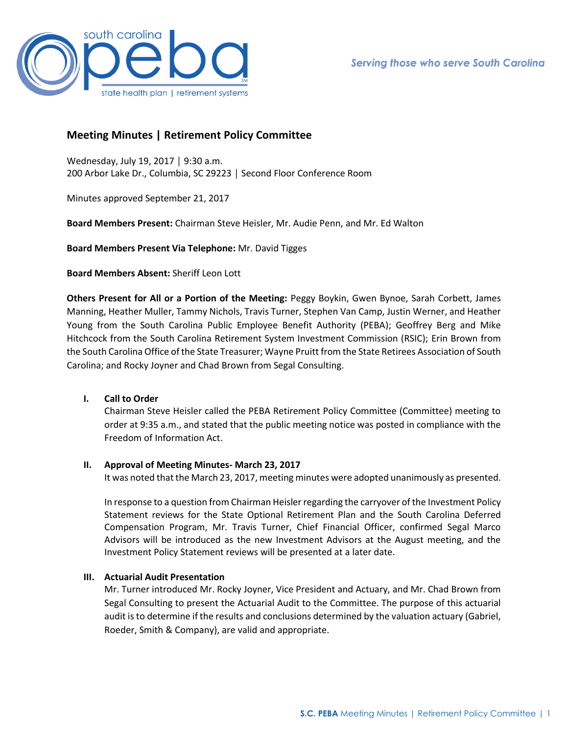

# **Meeting Minutes | Retirement Policy Committee**

Wednesday, July 19, 2017 │ 9:30 a.m. 200 Arbor Lake Dr., Columbia, SC 29223 │ Second Floor Conference Room

Minutes approved September 21, 2017

**Board Members Present:** Chairman Steve Heisler, Mr. Audie Penn, and Mr. Ed Walton

**Board Members Present Via Telephone:** Mr. David Tigges

**Board Members Absent:** Sheriff Leon Lott

**Others Present for All or a Portion of the Meeting:** Peggy Boykin, Gwen Bynoe, Sarah Corbett, James Manning, Heather Muller, Tammy Nichols, Travis Turner, Stephen Van Camp, Justin Werner, and Heather Young from the South Carolina Public Employee Benefit Authority (PEBA); Geoffrey Berg and Mike Hitchcock from the South Carolina Retirement System Investment Commission (RSIC); Erin Brown from the South Carolina Office of the State Treasurer; Wayne Pruitt from the State Retirees Association of South Carolina; and Rocky Joyner and Chad Brown from Segal Consulting.

# **I. Call to Order**

Chairman Steve Heisler called the PEBA Retirement Policy Committee (Committee) meeting to order at 9:35 a.m., and stated that the public meeting notice was posted in compliance with the Freedom of Information Act.

### **II. Approval of Meeting Minutes- March 23, 2017**

It was noted that the March 23, 2017, meeting minutes were adopted unanimously as presented.

In response to a question from Chairman Heisler regarding the carryover of the Investment Policy Statement reviews for the State Optional Retirement Plan and the South Carolina Deferred Compensation Program, Mr. Travis Turner, Chief Financial Officer, confirmed Segal Marco Advisors will be introduced as the new Investment Advisors at the August meeting, and the Investment Policy Statement reviews will be presented at a later date.

# **III. Actuarial Audit Presentation**

Mr. Turner introduced Mr. Rocky Joyner, Vice President and Actuary, and Mr. Chad Brown from Segal Consulting to present the Actuarial Audit to the Committee. The purpose of this actuarial audit is to determine if the results and conclusions determined by the valuation actuary (Gabriel, Roeder, Smith & Company), are valid and appropriate.